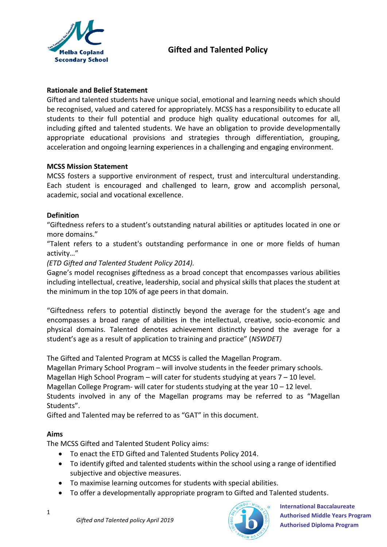

#### **Rationale and Belief Statement**

Gifted and talented students have unique social, emotional and learning needs which should be recognised, valued and catered for appropriately. MCSS has a responsibility to educate all students to their full potential and produce high quality educational outcomes for all, including gifted and talented students. We have an obligation to provide developmentally appropriate educational provisions and strategies through differentiation, grouping, acceleration and ongoing learning experiences in a challenging and engaging environment.

#### **MCSS Mission Statement**

MCSS fosters a supportive environment of respect, trust and intercultural understanding. Each student is encouraged and challenged to learn, grow and accomplish personal, academic, social and vocational excellence.

#### **Definition**

"Giftedness refers to a student's outstanding natural abilities or aptitudes located in one or more domains."

"Talent refers to a student's outstanding performance in one or more fields of human activity…"

#### *(ETD Gifted and Talented Student Policy 2014).*

Gagne's model recognises giftedness as a broad concept that encompasses various abilities including intellectual, creative, leadership, social and physical skills that places the student at the minimum in the top 10% of age peers in that domain.

"Giftedness refers to potential distinctly beyond the average for the student's age and encompasses a broad range of abilities in the intellectual, creative, socio-economic and physical domains. Talented denotes achievement distinctly beyond the average for a student's age as a result of application to training and practice" (*NSWDET)*

The Gifted and Talented Program at MCSS is called the Magellan Program.

Magellan Primary School Program – will involve students in the feeder primary schools.

Magellan High School Program – will cater for students studying at years 7 – 10 level.

Magellan College Program- will cater for students studying at the year 10 – 12 level.

Students involved in any of the Magellan programs may be referred to as "Magellan Students".

Gifted and Talented may be referred to as "GAT" in this document.

### **Aims**

The MCSS Gifted and Talented Student Policy aims:

- To enact the ETD Gifted and Talented Students Policy 2014.
- To identify gifted and talented students within the school using a range of identified subjective and objective measures.
- To maximise learning outcomes for students with special abilities.
- To offer a developmentally appropriate program to Gifted and Talented students.

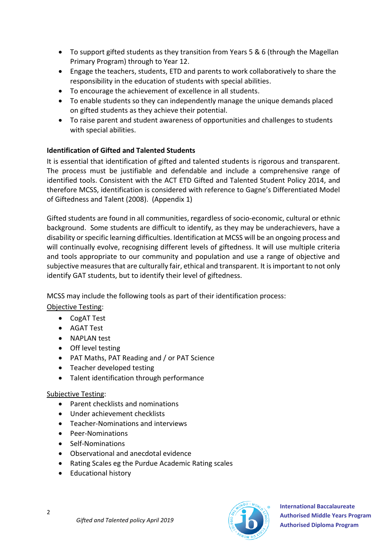- To support gifted students as they transition from Years 5 & 6 (through the Magellan Primary Program) through to Year 12.
- Engage the teachers, students, ETD and parents to work collaboratively to share the responsibility in the education of students with special abilities.
- To encourage the achievement of excellence in all students.
- To enable students so they can independently manage the unique demands placed on gifted students as they achieve their potential.
- To raise parent and student awareness of opportunities and challenges to students with special abilities.

### **Identification of Gifted and Talented Students**

It is essential that identification of gifted and talented students is rigorous and transparent. The process must be justifiable and defendable and include a comprehensive range of identified tools. Consistent with the ACT ETD Gifted and Talented Student Policy 2014, and therefore MCSS, identification is considered with reference to Gagne's Differentiated Model of Giftedness and Talent (2008). (Appendix 1)

Gifted students are found in all communities, regardless of socio-economic, cultural or ethnic background. Some students are difficult to identify, as they may be underachievers, have a disability or specific learning difficulties. Identification at MCSS will be an ongoing process and will continually evolve, recognising different levels of giftedness. It will use multiple criteria and tools appropriate to our community and population and use a range of objective and subjective measures that are culturally fair, ethical and transparent. It is important to not only identify GAT students, but to identify their level of giftedness.

MCSS may include the following tools as part of their identification process: Objective Testing:

- CogAT Test
- AGAT Test
- NAPLAN test
- Off level testing
- PAT Maths, PAT Reading and / or PAT Science
- Teacher developed testing
- Talent identification through performance

### Subjective Testing:

- Parent checklists and nominations
- Under achievement checklists
- Teacher-Nominations and interviews
- Peer-Nominations
- Self-Nominations
- Observational and anecdotal evidence
- Rating Scales eg the Purdue Academic Rating scales
- Educational history

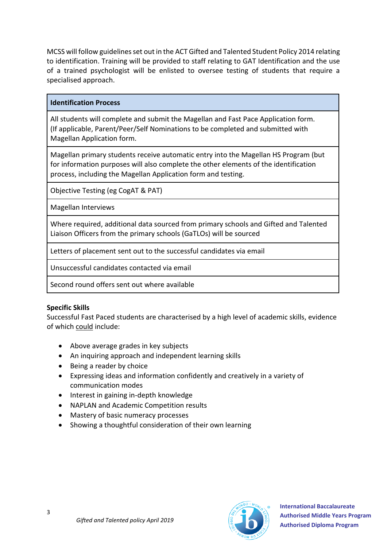MCSS will follow guidelines set out in the ACT Gifted and Talented Student Policy 2014 relating to identification. Training will be provided to staff relating to GAT Identification and the use of a trained psychologist will be enlisted to oversee testing of students that require a specialised approach.

#### **Identification Process**

All students will complete and submit the Magellan and Fast Pace Application form. (If applicable, Parent/Peer/Self Nominations to be completed and submitted with Magellan Application form.

Magellan primary students receive automatic entry into the Magellan HS Program (but for information purposes will also complete the other elements of the identification process, including the Magellan Application form and testing.

Objective Testing (eg CogAT & PAT)

Magellan Interviews

Where required, additional data sourced from primary schools and Gifted and Talented Liaison Officers from the primary schools (GaTLOs) will be sourced

Letters of placement sent out to the successful candidates via email

Unsuccessful candidates contacted via email

Second round offers sent out where available

### **Specific Skills**

Successful Fast Paced students are characterised by a high level of academic skills, evidence of which could include:

- Above average grades in key subjects
- An inquiring approach and independent learning skills
- Being a reader by choice
- Expressing ideas and information confidently and creatively in a variety of communication modes
- Interest in gaining in-depth knowledge
- NAPLAN and Academic Competition results
- Mastery of basic numeracy processes
- Showing a thoughtful consideration of their own learning

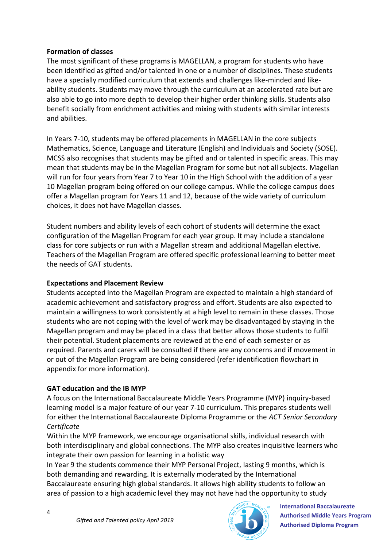#### **Formation of classes**

The most significant of these programs is MAGELLAN, a program for students who have been identified as gifted and/or talented in one or a number of disciplines. These students have a specially modified curriculum that extends and challenges like-minded and likeability students. Students may move through the curriculum at an accelerated rate but are also able to go into more depth to develop their higher order thinking skills. Students also benefit socially from enrichment activities and mixing with students with similar interests and abilities.

In Years 7-10, students may be offered placements in MAGELLAN in the core subjects Mathematics, Science, Language and Literature (English) and Individuals and Society (SOSE). MCSS also recognises that students may be gifted and or talented in specific areas. This may mean that students may be in the Magellan Program for some but not all subjects. Magellan will run for four years from Year 7 to Year 10 in the High School with the addition of a year 10 Magellan program being offered on our college campus. While the college campus does offer a Magellan program for Years 11 and 12, because of the wide variety of curriculum choices, it does not have Magellan classes.

Student numbers and ability levels of each cohort of students will determine the exact configuration of the Magellan Program for each year group. It may include a standalone class for core subjects or run with a Magellan stream and additional Magellan elective. Teachers of the Magellan Program are offered specific professional learning to better meet the needs of GAT students.

### **Expectations and Placement Review**

Students accepted into the Magellan Program are expected to maintain a high standard of academic achievement and satisfactory progress and effort. Students are also expected to maintain a willingness to work consistently at a high level to remain in these classes. Those students who are not coping with the level of work may be disadvantaged by staying in the Magellan program and may be placed in a class that better allows those students to fulfil their potential. Student placements are reviewed at the end of each semester or as required. Parents and carers will be consulted if there are any concerns and if movement in or out of the Magellan Program are being considered (refer identification flowchart in appendix for more information).

### **GAT education and the IB MYP**

A focus on the International Baccalaureate Middle Years Programme (MYP) inquiry-based learning model is a major feature of our year 7-10 curriculum. This prepares students well for either the International Baccalaureate Diploma Programme or the *ACT Senior Secondary Certificate*

Within the MYP framework, we encourage organisational skills, individual research with both interdisciplinary and global connections. The MYP also creates inquisitive learners who integrate their own passion for learning in a holistic way

In Year 9 the students commence their MYP Personal Project, lasting 9 months, which is both demanding and rewarding. It is externally moderated by the International Baccalaureate ensuring high global standards. It allows high ability students to follow an area of passion to a high academic level they may not have had the opportunity to study

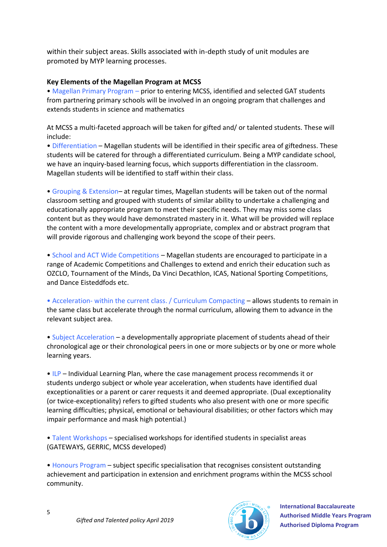within their subject areas. Skills associated with in-depth study of unit modules are promoted by MYP learning processes.

#### **Key Elements of the Magellan Program at MCSS**

• Magellan Primary Program – prior to entering MCSS, identified and selected GAT students from partnering primary schools will be involved in an ongoing program that challenges and extends students in science and mathematics

At MCSS a multi-faceted approach will be taken for gifted and/ or talented students. These will include:

• Differentiation – Magellan students will be identified in their specific area of giftedness. These students will be catered for through a differentiated curriculum. Being a MYP candidate school, we have an inquiry-based learning focus, which supports differentiation in the classroom. Magellan students will be identified to staff within their class.

• Grouping & Extension– at regular times, Magellan students will be taken out of the normal classroom setting and grouped with students of similar ability to undertake a challenging and educationally appropriate program to meet their specific needs. They may miss some class content but as they would have demonstrated mastery in it. What will be provided will replace the content with a more developmentally appropriate, complex and or abstract program that will provide rigorous and challenging work beyond the scope of their peers.

• School and ACT Wide Competitions – Magellan students are encouraged to participate in a range of Academic Competitions and Challenges to extend and enrich their education such as OZCLO, Tournament of the Minds, Da Vinci Decathlon, ICAS, National Sporting Competitions, and Dance Eisteddfods etc.

• Acceleration- within the current class. / Curriculum Compacting – allows students to remain in the same class but accelerate through the normal curriculum, allowing them to advance in the relevant subject area.

• Subject Acceleration – a developmentally appropriate placement of students ahead of their chronological age or their chronological peers in one or more subjects or by one or more whole learning years.

• ILP – Individual Learning Plan, where the case management process recommends it or students undergo subject or whole year acceleration, when students have identified dual exceptionalities or a parent or carer requests it and deemed appropriate. (Dual exceptionality (or twice-exceptionality) refers to gifted students who also present with one or more specific learning difficulties; physical, emotional or behavioural disabilities; or other factors which may impair performance and mask high potential.)

• Talent Workshops – specialised workshops for identified students in specialist areas (GATEWAYS, GERRIC, MCSS developed)

• Honours Program – subject specific specialisation that recognises consistent outstanding achievement and participation in extension and enrichment programs within the MCSS school community.

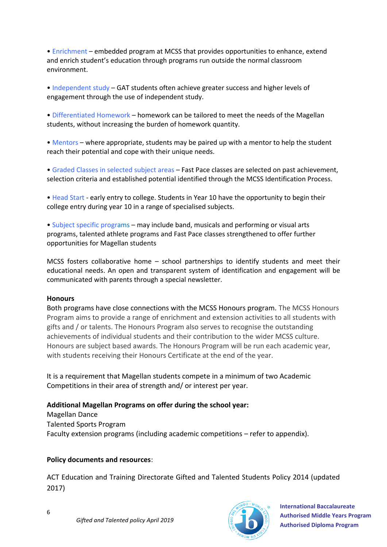• Enrichment – embedded program at MCSS that provides opportunities to enhance, extend and enrich student's education through programs run outside the normal classroom environment.

• Independent study – GAT students often achieve greater success and higher levels of engagement through the use of independent study.

• Differentiated Homework – homework can be tailored to meet the needs of the Magellan students, without increasing the burden of homework quantity.

• Mentors – where appropriate, students may be paired up with a mentor to help the student reach their potential and cope with their unique needs.

• Graded Classes in selected subject areas – Fast Pace classes are selected on past achievement, selection criteria and established potential identified through the MCSS Identification Process.

• Head Start - early entry to college. Students in Year 10 have the opportunity to begin their college entry during year 10 in a range of specialised subjects.

• Subject specific programs – may include band, musicals and performing or visual arts programs, talented athlete programs and Fast Pace classes strengthened to offer further opportunities for Magellan students

MCSS fosters collaborative home – school partnerships to identify students and meet their educational needs. An open and transparent system of identification and engagement will be communicated with parents through a special newsletter.

#### **Honours**

Both programs have close connections with the MCSS Honours program. The MCSS Honours Program aims to provide a range of enrichment and extension activities to all students with gifts and / or talents. The Honours Program also serves to recognise the outstanding achievements of individual students and their contribution to the wider MCSS culture. Honours are subject based awards. The Honours Program will be run each academic year, with students receiving their Honours Certificate at the end of the year.

It is a requirement that Magellan students compete in a minimum of two Academic Competitions in their area of strength and/ or interest per year.

**Additional Magellan Programs on offer during the school year:**

Magellan Dance Talented Sports Program Faculty extension programs (including academic competitions – refer to appendix).

#### **Policy documents and resources**:

ACT Education and Training Directorate Gifted and Talented Students Policy 2014 (updated 2017)

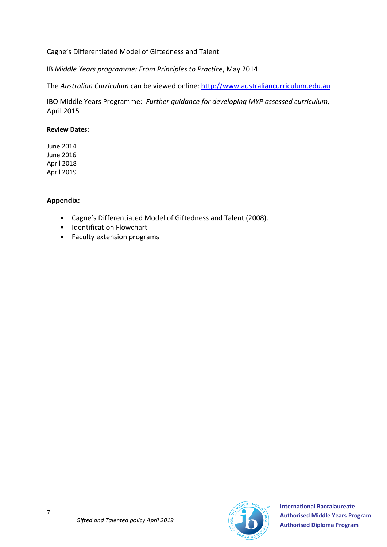#### Cagne's Differentiated Model of Giftedness and Talent

IB *Middle Years programme: From Principles to Practice*, May 2014

The *Australian Curriculum* can be viewed online: [http://www.australiancurriculum.edu.au](http://www.australiancurriculum.edu.au/)

IBO Middle Years Programme: *Further guidance for developing MYP assessed curriculum,* April 2015

#### **Review Dates:**

June 2014 June 2016 April 2018 April 2019

#### **Appendix:**

- Cagne's Differentiated Model of Giftedness and Talent (2008).
- Identification Flowchart
- Faculty extension programs

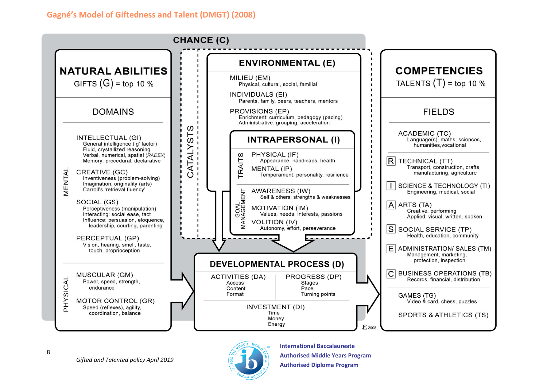### **Gagné's Model of Giftedness and Talent (DMGT) (2008)**



8

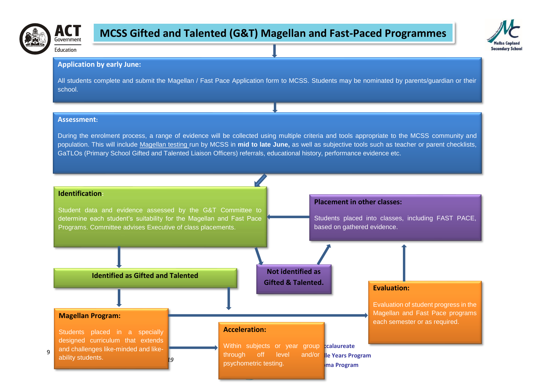

# **MCSS Gifted and Talented (G&T) Magellan and Fast-Paced Programmes**



**Education** 

ACT

#### **Application by early June:**

All students complete and submit the Magellan / Fast Pace Application form to MCSS. Students may be nominated by parents/guardian or their school.

#### **Assessment:**

During the enrolment process, a range of evidence will be collected using multiple criteria and tools appropriate to the MCSS community and population. This will include Magellan testing run by MCSS in **mid to late June,** as well as subjective tools such as teacher or parent checklists, GaTLOs (Primary School Gifted and Talented Liaison Officers) referrals, educational history, performance evidence etc.

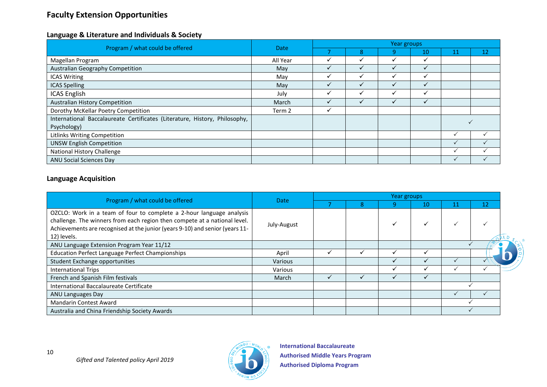## **Faculty Extension Opportunities**

#### **Language & Literature and Individuals & Society**

| Program / what could be offered                                            | Date     | Year groups  |   |              |              |    |    |  |  |
|----------------------------------------------------------------------------|----------|--------------|---|--------------|--------------|----|----|--|--|
|                                                                            |          |              | 8 | 9            | 10           | 11 | 12 |  |  |
| Magellan Program                                                           | All Year | v            | ✓ | ✓            | ✓            |    |    |  |  |
| Australian Geography Competition                                           | May      | $\checkmark$ |   | ✓            | ✓            |    |    |  |  |
| <b>ICAS Writing</b>                                                        | May      | $\checkmark$ |   |              | ✓            |    |    |  |  |
| <b>ICAS Spelling</b>                                                       | May      | $\checkmark$ |   | $\checkmark$ | $\checkmark$ |    |    |  |  |
| <b>ICAS English</b>                                                        | July     | v            | v | $\checkmark$ | ✓            |    |    |  |  |
| <b>Australian History Competition</b>                                      | March    |              |   |              |              |    |    |  |  |
| Dorothy McKellar Poetry Competition                                        | Term 2   | $\checkmark$ |   |              |              |    |    |  |  |
| International Baccalaureate Certificates (Literature, History, Philosophy, |          |              |   |              |              |    |    |  |  |
| Psychology)                                                                |          |              |   |              |              |    |    |  |  |
| Litlinks Writing Competition                                               |          |              |   |              |              |    |    |  |  |
| <b>UNSW English Competition</b>                                            |          |              |   |              |              |    |    |  |  |
| National History Challenge                                                 |          |              |   |              |              | ✓  |    |  |  |
| <b>ANU Social Sciences Day</b>                                             |          |              |   |              |              |    |    |  |  |

#### **Language Acquisition**

10

| Program / what could be offered                                                                                                                                                                                                                  | <b>Date</b>    | Year groups |   |   |    |  |    |  |  |
|--------------------------------------------------------------------------------------------------------------------------------------------------------------------------------------------------------------------------------------------------|----------------|-------------|---|---|----|--|----|--|--|
|                                                                                                                                                                                                                                                  |                |             | ō | q | 10 |  | 12 |  |  |
| OZCLO: Work in a team of four to complete a 2-hour language analysis<br>challenge. The winners from each region then compete at a national level.<br>Achievements are recognised at the junior (years 9-10) and senior (years 11-<br>12) levels. | July-August    |             |   |   |    |  |    |  |  |
| ANU Language Extension Program Year 11/12                                                                                                                                                                                                        |                |             |   |   |    |  |    |  |  |
| <b>Education Perfect Language Perfect Championships</b>                                                                                                                                                                                          | April          |             |   |   |    |  |    |  |  |
| Student Exchange opportunities                                                                                                                                                                                                                   | <b>Various</b> |             |   |   |    |  |    |  |  |
| <b>International Trips</b>                                                                                                                                                                                                                       | Various        |             |   |   |    |  |    |  |  |
| French and Spanish Film festivals                                                                                                                                                                                                                | March          |             |   |   |    |  |    |  |  |
| International Baccalaureate Certificate                                                                                                                                                                                                          |                |             |   |   |    |  |    |  |  |
| ANU Languages Day                                                                                                                                                                                                                                |                |             |   |   |    |  |    |  |  |
| <b>Mandarin Contest Award</b>                                                                                                                                                                                                                    |                |             |   |   |    |  |    |  |  |
| Australia and China Friendship Society Awards                                                                                                                                                                                                    |                |             |   |   |    |  |    |  |  |

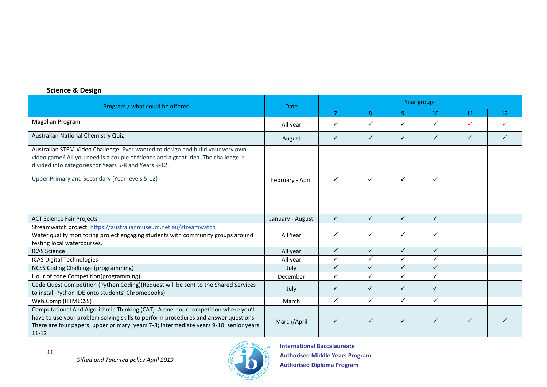#### **Science & Design**

| Program / what could be offered                                                                                                                                                                                                                                                 | <b>Date</b>      | Year groups    |              |              |              |              |                 |  |  |
|---------------------------------------------------------------------------------------------------------------------------------------------------------------------------------------------------------------------------------------------------------------------------------|------------------|----------------|--------------|--------------|--------------|--------------|-----------------|--|--|
|                                                                                                                                                                                                                                                                                 |                  | $\overline{7}$ | 8            | 9            | 10           | 11           | 12 <sub>2</sub> |  |  |
| Magellan Program                                                                                                                                                                                                                                                                | All year         | ✓              | ✓            | ✓            | ✓            | $\checkmark$ | ✓               |  |  |
| Australian National Chemistry Quiz                                                                                                                                                                                                                                              | August           | $\checkmark$   | $\checkmark$ | $\checkmark$ | $\checkmark$ | $\checkmark$ | ✓               |  |  |
| Australian STEM Video Challenge: Ever wanted to design and build your very own<br>video game? All you need is a couple of friends and a great idea. The challenge is<br>divided into categories for Years 5-8 and Years 9-12.<br>Upper Primary and Secondary (Year levels 5-12) | February - April | ✓              | $\checkmark$ | ✓            |              |              |                 |  |  |
| <b>ACT Science Fair Projects</b>                                                                                                                                                                                                                                                | January - August | $\checkmark$   | $\checkmark$ | $\checkmark$ | $\checkmark$ |              |                 |  |  |
| Streamwatch project. https://australianmuseum.net.au/streamwatch<br>Water quality monitoring project engaging students with community groups around<br>testing local watercourses.                                                                                              | All Year         | ✓              | $\checkmark$ | ✓            | $\checkmark$ |              |                 |  |  |
| <b>ICAS Science</b>                                                                                                                                                                                                                                                             | All year         | $\checkmark$   | $\checkmark$ | $\checkmark$ | $\checkmark$ |              |                 |  |  |
| <b>ICAS Digital Technologies</b>                                                                                                                                                                                                                                                | All year         | $\checkmark$   | $\checkmark$ | $\checkmark$ | $\checkmark$ |              |                 |  |  |
| NCSS Coding Challenge (programming)                                                                                                                                                                                                                                             | July             | ✓              | $\checkmark$ | ✓            | $\checkmark$ |              |                 |  |  |
| Hour of code Competition(programming)                                                                                                                                                                                                                                           | December         | $\checkmark$   | $\checkmark$ | $\checkmark$ | $\checkmark$ |              |                 |  |  |
| Code Quest Competition (Python Coding)(Request will be sent to the Shared Services<br>to install Python IDE onto students' Chromebooks)                                                                                                                                         | July             | $\checkmark$   | $\checkmark$ | $\checkmark$ | $\checkmark$ |              |                 |  |  |
| Web.Comp (HTMLCSS)                                                                                                                                                                                                                                                              | March            | $\checkmark$   | $\checkmark$ | $\checkmark$ | $\checkmark$ |              |                 |  |  |
| Computational And Algorithmic Thinking (CAT): A one-hour competition where you'll<br>have to use your problem solving skills to perform procedures and answer questions.<br>There are four papers; upper primary, years 7-8; intermediate years 9-10; senior years<br>$11 - 12$ | March/April      | ✓              | $\checkmark$ | $\checkmark$ | ✓            |              |                 |  |  |

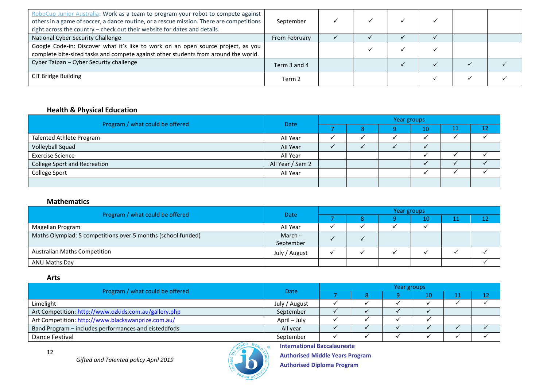| RoboCup Junior Australia: Work as a team to program your robot to compete against<br>others in a game of soccer, a dance routine, or a rescue mission. There are competitions<br>right across the country - check out their website for dates and details. | September     |  |  |  |
|------------------------------------------------------------------------------------------------------------------------------------------------------------------------------------------------------------------------------------------------------------|---------------|--|--|--|
| National Cyber Security Challenge                                                                                                                                                                                                                          | From February |  |  |  |
| Google Code-in: Discover what it's like to work on an open source project, as you<br>complete bite-sized tasks and compete against other students from around the world.                                                                                   |               |  |  |  |
| Cyber Taipan - Cyber Security challenge                                                                                                                                                                                                                    | Term 3 and 4  |  |  |  |
| CIT Bridge Building                                                                                                                                                                                                                                        | Term 2        |  |  |  |

#### **Health & Physical Education**

|                                     | <b>Date</b>      | Year groups |  |  |    |    |    |  |  |
|-------------------------------------|------------------|-------------|--|--|----|----|----|--|--|
| Program / what could be offered     |                  |             |  |  | 10 | ᆂᆂ | 12 |  |  |
| <b>Talented Athlete Program</b>     | All Year         |             |  |  |    |    |    |  |  |
| Volleyball Squad                    | All Year         |             |  |  |    |    |    |  |  |
| <b>Exercise Science</b>             | All Year         |             |  |  |    |    |    |  |  |
| <b>College Sport and Recreation</b> | All Year / Sem 2 |             |  |  |    |    |    |  |  |
| College Sport                       | All Year         |             |  |  |    |    |    |  |  |
|                                     |                  |             |  |  |    |    |    |  |  |

#### **Mathematics**

| Program / what could be offered                              | <b>Date</b>          | Year groups |  |  |     |   |   |  |  |
|--------------------------------------------------------------|----------------------|-------------|--|--|-----|---|---|--|--|
|                                                              |                      |             |  |  | LO. | ᆠ | ∸ |  |  |
| Magellan Program                                             | All Year             |             |  |  |     |   |   |  |  |
| Maths Olympiad: 5 competitions over 5 months (school funded) | March -<br>September |             |  |  |     |   |   |  |  |
| <b>Australian Maths Competition</b>                          | July / August        |             |  |  |     |   |   |  |  |
| ANU Maths Day                                                |                      |             |  |  |     |   |   |  |  |

#### **Arts**

| Program / what could be offered                       | Date          | Year groups |  |  |    |  |  |  |  |
|-------------------------------------------------------|---------------|-------------|--|--|----|--|--|--|--|
|                                                       |               |             |  |  | 10 |  |  |  |  |
| Limelight                                             | July / August |             |  |  |    |  |  |  |  |
| Art Competition: http://www.ozkids.com.au/gallery.php | September     |             |  |  |    |  |  |  |  |
| Art Competition: http://www.blackswanprize.com.au/    | April – July  |             |  |  |    |  |  |  |  |
| Band Program - includes performances and eisteddfods  | All year      |             |  |  |    |  |  |  |  |
| Dance Festival                                        | September     |             |  |  |    |  |  |  |  |



**International Baccalaureate**

**Authorised Middle Years Program Authorised Diploma Program**